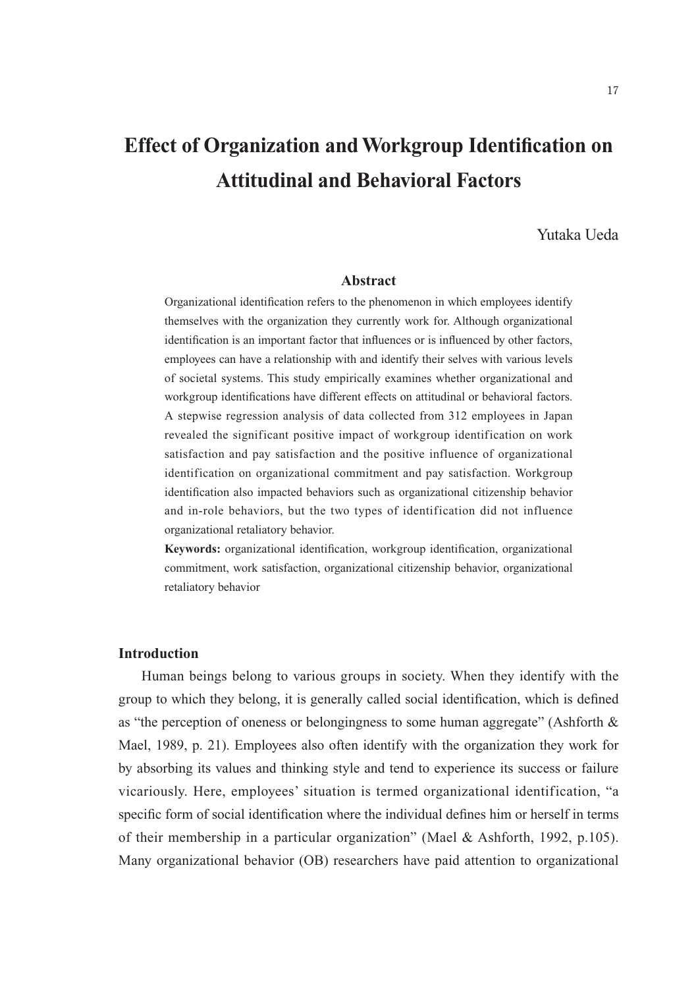# **Effect of Organization and Workgroup Identification on Attitudinal and Behavioral Factors**

## Yutaka Ueda

## **Abstract**

Organizational identification refers to the phenomenon in which employees identify themselves with the organization they currently work for. Although organizational identification is an important factor that influences or is influenced by other factors, employees can have a relationship with and identify their selves with various levels of societal systems. This study empirically examines whether organizational and workgroup identifications have different effects on attitudinal or behavioral factors. A stepwise regression analysis of data collected from 312 employees in Japan revealed the significant positive impact of workgroup identification on work satisfaction and pay satisfaction and the positive influence of organizational identification on organizational commitment and pay satisfaction. Workgroup identification also impacted behaviors such as organizational citizenship behavior and in-role behaviors, but the two types of identification did not influence organizational retaliatory behavior.

**Keywords:** organizational identification, workgroup identification, organizational commitment, work satisfaction, organizational citizenship behavior, organizational retaliatory behavior

#### **Introduction**

Human beings belong to various groups in society. When they identify with the group to which they belong, it is generally called social identification, which is defined as "the perception of oneness or belongingness to some human aggregate" (Ashforth & Mael, 1989, p. 21). Employees also often identify with the organization they work for by absorbing its values and thinking style and tend to experience its success or failure vicariously. Here, employees' situation is termed organizational identification, "a specific form of social identification where the individual defines him or herself in terms of their membership in a particular organization" (Mael & Ashforth, 1992, p.105). Many organizational behavior (OB) researchers have paid attention to organizational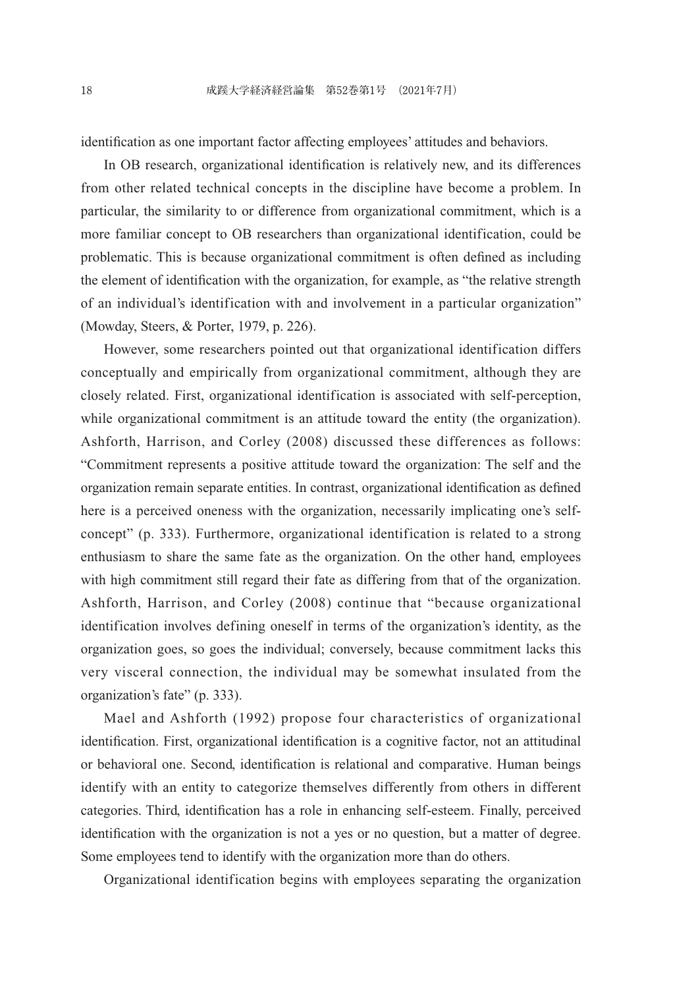identification as one important factor affecting employees' attitudes and behaviors.

In OB research, organizational identification is relatively new, and its differences from other related technical concepts in the discipline have become a problem. In particular, the similarity to or difference from organizational commitment, which is a more familiar concept to OB researchers than organizational identification, could be problematic. This is because organizational commitment is often defined as including the element of identification with the organization, for example, as "the relative strength of an individual's identification with and involvement in a particular organization" (Mowday, Steers, & Porter, 1979, p. 226).

However, some researchers pointed out that organizational identification differs conceptually and empirically from organizational commitment, although they are closely related. First, organizational identification is associated with self-perception, while organizational commitment is an attitude toward the entity (the organization). Ashforth, Harrison, and Corley (2008) discussed these differences as follows: "Commitment represents a positive attitude toward the organization: The self and the organization remain separate entities. In contrast, organizational identification as defined here is a perceived oneness with the organization, necessarily implicating one's selfconcept" (p. 333). Furthermore, organizational identification is related to a strong enthusiasm to share the same fate as the organization. On the other hand, employees with high commitment still regard their fate as differing from that of the organization. Ashforth, Harrison, and Corley (2008) continue that "because organizational identification involves defining oneself in terms of the organization's identity, as the organization goes, so goes the individual; conversely, because commitment lacks this very visceral connection, the individual may be somewhat insulated from the organization's fate" (p. 333).

Mael and Ashforth (1992) propose four characteristics of organizational identification. First, organizational identification is a cognitive factor, not an attitudinal or behavioral one. Second, identification is relational and comparative. Human beings identify with an entity to categorize themselves differently from others in different categories. Third, identification has a role in enhancing self-esteem. Finally, perceived identification with the organization is not a yes or no question, but a matter of degree. Some employees tend to identify with the organization more than do others.

Organizational identification begins with employees separating the organization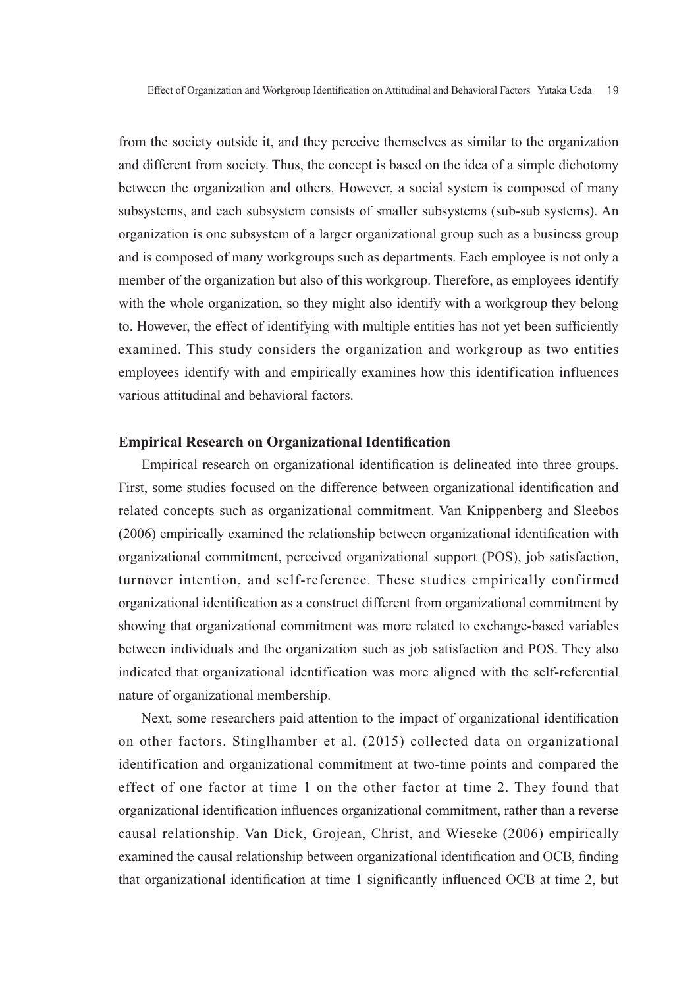from the society outside it, and they perceive themselves as similar to the organization and different from society. Thus, the concept is based on the idea of a simple dichotomy between the organization and others. However, a social system is composed of many subsystems, and each subsystem consists of smaller subsystems (sub-sub systems). An organization is one subsystem of a larger organizational group such as a business group and is composed of many workgroups such as departments. Each employee is not only a member of the organization but also of this workgroup. Therefore, as employees identify with the whole organization, so they might also identify with a workgroup they belong to. However, the effect of identifying with multiple entities has not yet been sufficiently examined. This study considers the organization and workgroup as two entities employees identify with and empirically examines how this identification influences various attitudinal and behavioral factors.

#### **Empirical Research on Organizational Identification**

Empirical research on organizational identification is delineated into three groups. First, some studies focused on the difference between organizational identification and related concepts such as organizational commitment. Van Knippenberg and Sleebos (2006) empirically examined the relationship between organizational identification with organizational commitment, perceived organizational support (POS), job satisfaction, turnover intention, and self-reference. These studies empirically confirmed organizational identification as a construct different from organizational commitment by showing that organizational commitment was more related to exchange-based variables between individuals and the organization such as job satisfaction and POS. They also indicated that organizational identification was more aligned with the self-referential nature of organizational membership.

Next, some researchers paid attention to the impact of organizational identification on other factors. Stinglhamber et al. (2015) collected data on organizational identification and organizational commitment at two-time points and compared the effect of one factor at time 1 on the other factor at time 2. They found that organizational identification influences organizational commitment, rather than a reverse causal relationship. Van Dick, Grojean, Christ, and Wieseke (2006) empirically examined the causal relationship between organizational identification and OCB, finding that organizational identification at time 1 significantly influenced OCB at time 2, but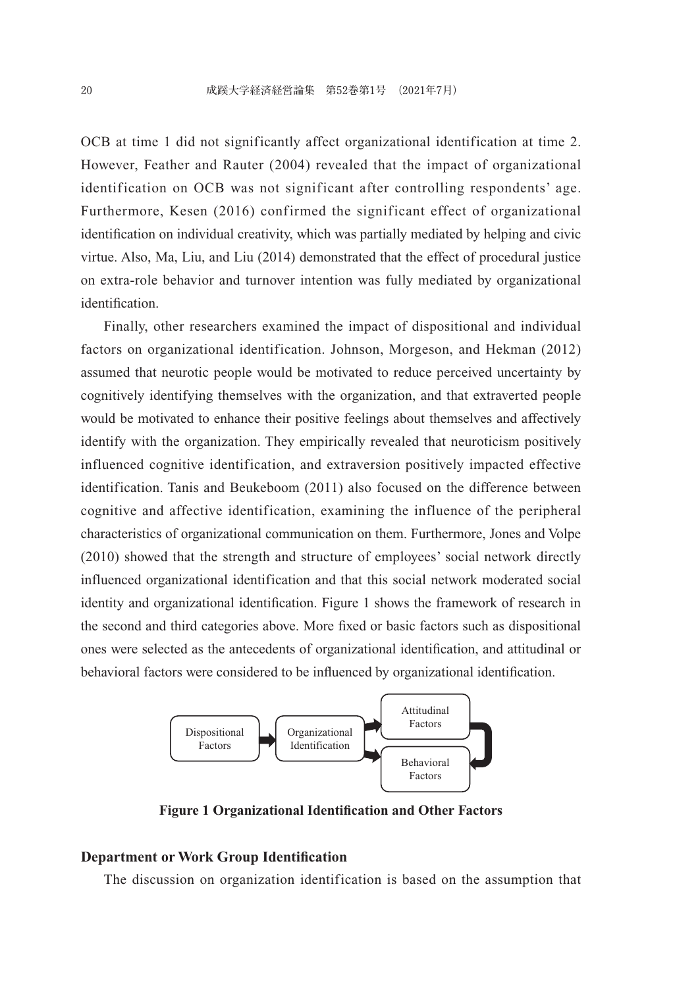OCB at time 1 did not significantly affect organizational identification at time 2. However, Feather and Rauter (2004) revealed that the impact of organizational identification on OCB was not significant after controlling respondents' age. Furthermore, Kesen (2016) confirmed the significant effect of organizational identification on individual creativity, which was partially mediated by helping and civic virtue. Also, Ma, Liu, and Liu (2014) demonstrated that the effect of procedural justice on extra-role behavior and turnover intention was fully mediated by organizational identification.

Finally, other researchers examined the impact of dispositional and individual factors on organizational identification. Johnson, Morgeson, and Hekman (2012) assumed that neurotic people would be motivated to reduce perceived uncertainty by cognitively identifying themselves with the organization, and that extraverted people would be motivated to enhance their positive feelings about themselves and affectively identify with the organization. They empirically revealed that neuroticism positively influenced cognitive identification, and extraversion positively impacted effective identification. Tanis and Beukeboom (2011) also focused on the difference between cognitive and affective identification, examining the influence of the peripheral characteristics of organizational communication on them. Furthermore, Jones and Volpe (2010) showed that the strength and structure of employees' social network directly influenced organizational identification and that this social network moderated social identity and organizational identification. Figure 1 shows the framework of research in the second and third categories above. More fixed or basic factors such as dispositional ones were selected as the antecedents of organizational identification, and attitudinal or behavioral factors were considered to be influenced by organizational identification.



**Figure 1 Organizational Identification and Other Factors**

## **Department or Work Group Identification**

The discussion on organization identification is based on the assumption that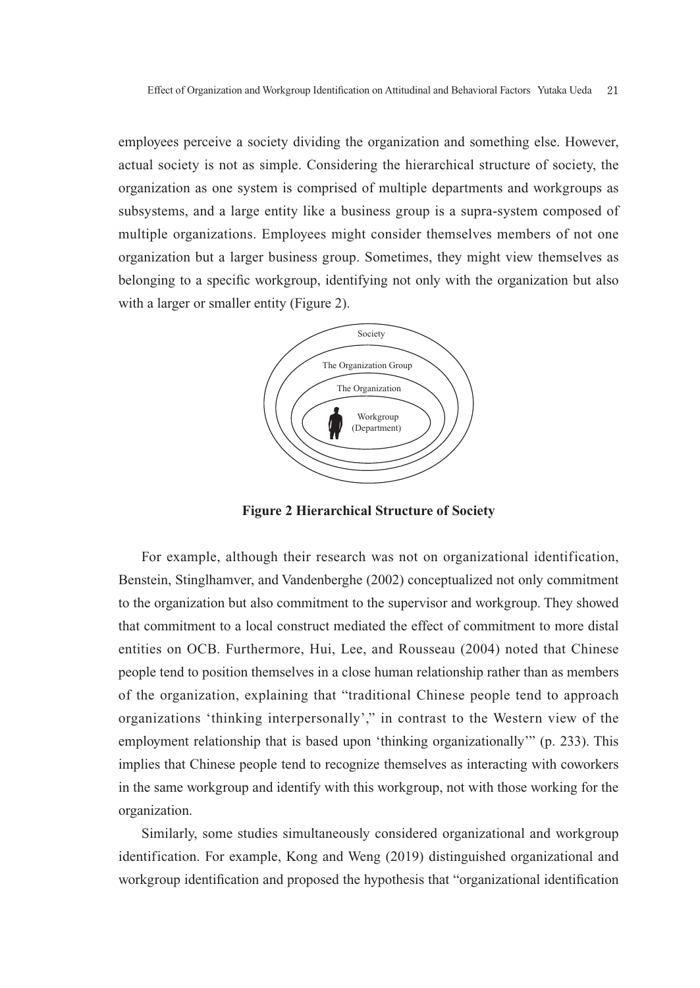employees perceive a society dividing the organization and something else. However, actual society is not as simple. Considering the hierarchical structure of society, the organization as one system is comprised of multiple departments and workgroups as subsystems, and a large entity like a business group is a supra-system composed of multiple organizations. Employees might consider themselves members of not one organization but a larger business group. Sometimes, they might view themselves as belonging to a specific workgroup, identifying not only with the organization but also with a larger or smaller entity (Figure 2).



**Figure 2 Hierarchical Structure of Society**

For example, although their research was not on organizational identification, Benstein, Stinglhamver, and Vandenberghe (2002) conceptualized not only commitment to the organization but also commitment to the supervisor and workgroup. They showed that commitment to a local construct mediated the effect of commitment to more distal entities on OCB. Furthermore, Hui, Lee, and Rousseau (2004) noted that Chinese people tend to position themselves in a close human relationship rather than as members of the organization, explaining that "traditional Chinese people tend to approach organizations 'thinking interpersonally'," in contrast to the Western view of the employment relationship that is based upon 'thinking organizationally'" (p. 233). This implies that Chinese people tend to recognize themselves as interacting with coworkers in the same workgroup and identify with this workgroup, not with those working for the organization.

Similarly, some studies simultaneously considered organizational and workgroup identification. For example, Kong and Weng (2019) distinguished organizational and workgroup identification and proposed the hypothesis that "organizational identification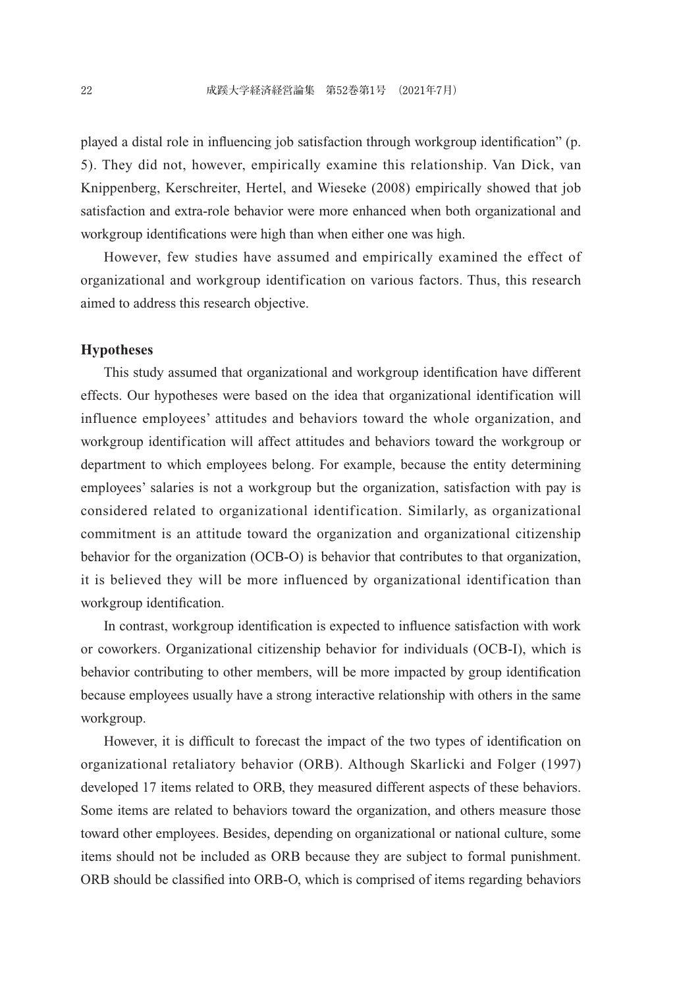played a distal role in influencing job satisfaction through workgroup identification" (p. 5). They did not, however, empirically examine this relationship. Van Dick, van Knippenberg, Kerschreiter, Hertel, and Wieseke (2008) empirically showed that job satisfaction and extra-role behavior were more enhanced when both organizational and workgroup identifications were high than when either one was high.

However, few studies have assumed and empirically examined the effect of organizational and workgroup identification on various factors. Thus, this research aimed to address this research objective.

## **Hypotheses**

This study assumed that organizational and workgroup identification have different effects. Our hypotheses were based on the idea that organizational identification will influence employees' attitudes and behaviors toward the whole organization, and workgroup identification will affect attitudes and behaviors toward the workgroup or department to which employees belong. For example, because the entity determining employees' salaries is not a workgroup but the organization, satisfaction with pay is considered related to organizational identification. Similarly, as organizational commitment is an attitude toward the organization and organizational citizenship behavior for the organization (OCB-O) is behavior that contributes to that organization, it is believed they will be more influenced by organizational identification than workgroup identification.

In contrast, workgroup identification is expected to influence satisfaction with work or coworkers. Organizational citizenship behavior for individuals (OCB-I), which is behavior contributing to other members, will be more impacted by group identification because employees usually have a strong interactive relationship with others in the same workgroup.

However, it is difficult to forecast the impact of the two types of identification on organizational retaliatory behavior (ORB). Although Skarlicki and Folger (1997) developed 17 items related to ORB, they measured different aspects of these behaviors. Some items are related to behaviors toward the organization, and others measure those toward other employees. Besides, depending on organizational or national culture, some items should not be included as ORB because they are subject to formal punishment. ORB should be classified into ORB-O, which is comprised of items regarding behaviors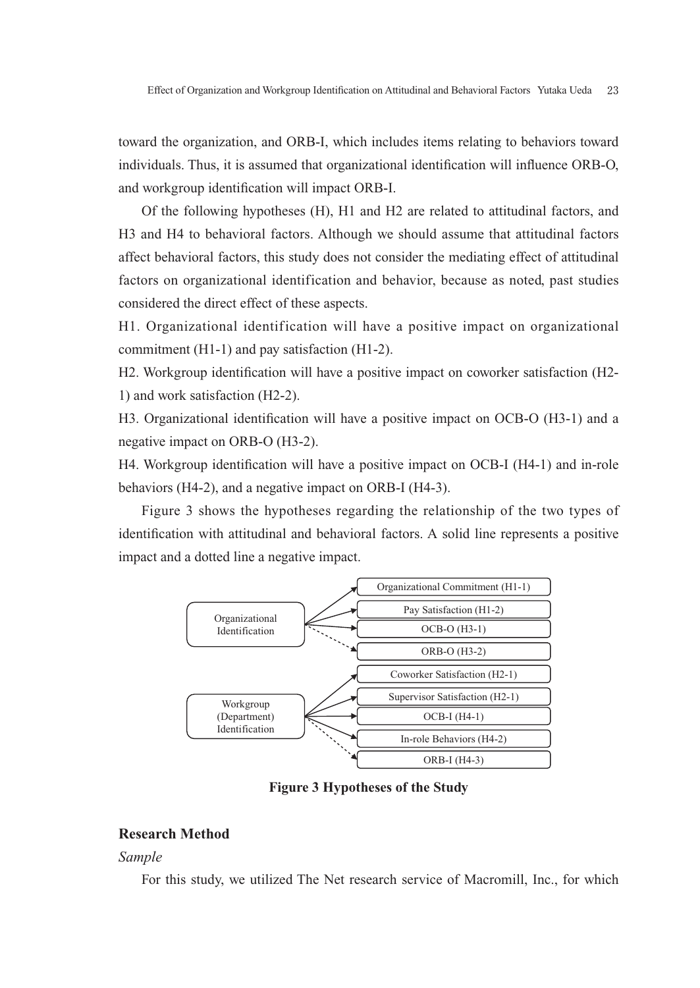toward the organization, and ORB-I, which includes items relating to behaviors toward individuals. Thus, it is assumed that organizational identification will influence ORB-O, and workgroup identification will impact ORB-I.

Of the following hypotheses (H), H1 and H2 are related to attitudinal factors, and H3 and H4 to behavioral factors. Although we should assume that attitudinal factors affect behavioral factors, this study does not consider the mediating effect of attitudinal factors on organizational identification and behavior, because as noted, past studies considered the direct effect of these aspects.

H1. Organizational identification will have a positive impact on organizational commitment (H1-1) and pay satisfaction (H1-2).

H2. Workgroup identification will have a positive impact on coworker satisfaction (H2- 1) and work satisfaction (H2-2).

H3. Organizational identification will have a positive impact on OCB-O (H3-1) and a negative impact on ORB-O (H3-2).

H4. Workgroup identification will have a positive impact on OCB-I (H4-1) and in-role behaviors (H4-2), and a negative impact on ORB-I (H4-3).

Figure 3 shows the hypotheses regarding the relationship of the two types of identification with attitudinal and behavioral factors. A solid line represents a positive impact and a dotted line a negative impact.



**Figure 3 Hypotheses of the Study**

# **Research Method**

#### *Sample*

For this study, we utilized The Net research service of Macromill, Inc., for which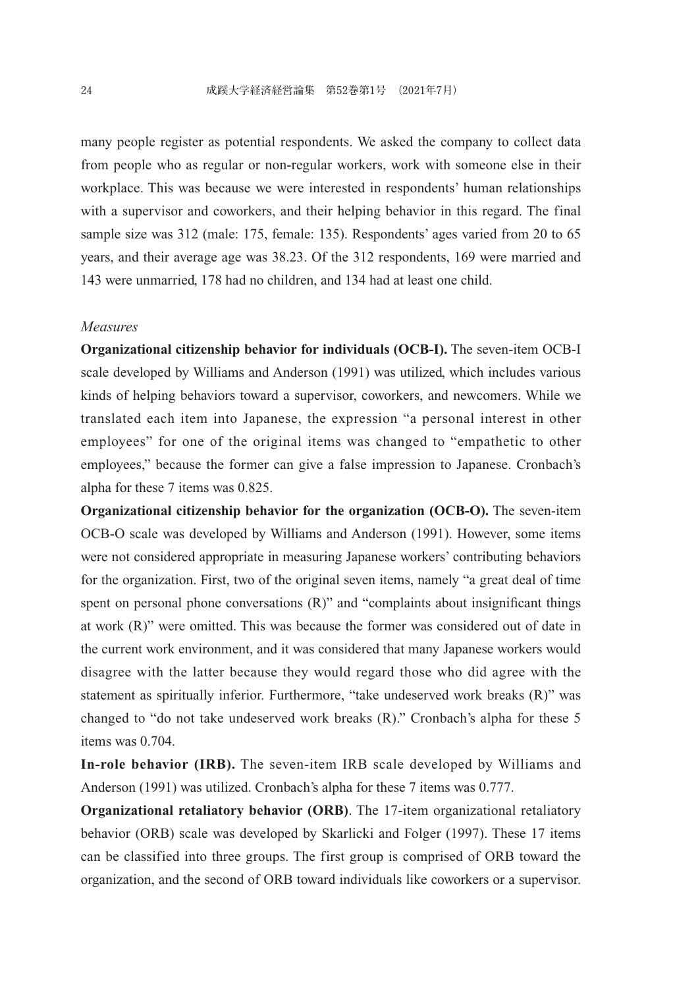many people register as potential respondents. We asked the company to collect data from people who as regular or non-regular workers, work with someone else in their workplace. This was because we were interested in respondents' human relationships with a supervisor and coworkers, and their helping behavior in this regard. The final sample size was 312 (male: 175, female: 135). Respondents' ages varied from 20 to 65 years, and their average age was 38.23. Of the 312 respondents, 169 were married and 143 were unmarried, 178 had no children, and 134 had at least one child.

#### *Measures*

**Organizational citizenship behavior for individuals (OCB-I).** The seven-item OCB-I scale developed by Williams and Anderson (1991) was utilized, which includes various kinds of helping behaviors toward a supervisor, coworkers, and newcomers. While we translated each item into Japanese, the expression "a personal interest in other employees" for one of the original items was changed to "empathetic to other employees," because the former can give a false impression to Japanese. Cronbach's alpha for these 7 items was 0.825.

**Organizational citizenship behavior for the organization (OCB-O).** The seven-item OCB-O scale was developed by Williams and Anderson (1991). However, some items were not considered appropriate in measuring Japanese workers' contributing behaviors for the organization. First, two of the original seven items, namely "a great deal of time spent on personal phone conversations  $(R)$ " and "complaints about insignificant things at work (R)" were omitted. This was because the former was considered out of date in the current work environment, and it was considered that many Japanese workers would disagree with the latter because they would regard those who did agree with the statement as spiritually inferior. Furthermore, "take undeserved work breaks (R)" was changed to "do not take undeserved work breaks (R)." Cronbach's alpha for these 5 items was 0.704.

**In-role behavior (IRB).** The seven-item IRB scale developed by Williams and Anderson (1991) was utilized. Cronbach's alpha for these 7 items was 0.777.

**Organizational retaliatory behavior (ORB)**. The 17-item organizational retaliatory behavior (ORB) scale was developed by Skarlicki and Folger (1997). These 17 items can be classified into three groups. The first group is comprised of ORB toward the organization, and the second of ORB toward individuals like coworkers or a supervisor.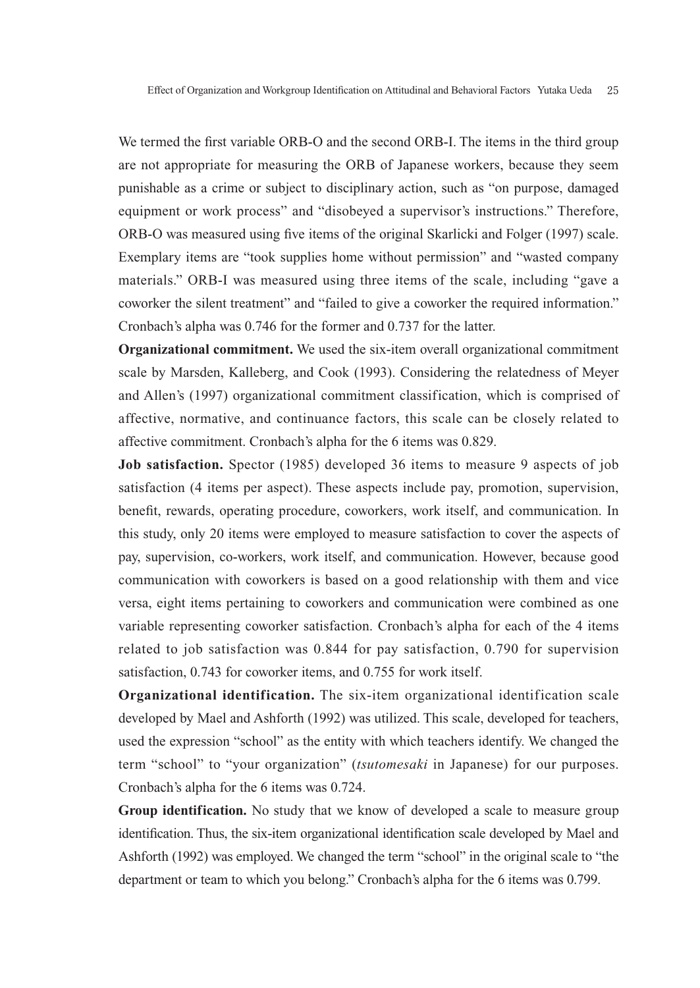We termed the first variable ORB-O and the second ORB-I. The items in the third group are not appropriate for measuring the ORB of Japanese workers, because they seem punishable as a crime or subject to disciplinary action, such as "on purpose, damaged equipment or work process" and "disobeyed a supervisor's instructions." Therefore, ORB-O was measured using five items of the original Skarlicki and Folger (1997) scale. Exemplary items are "took supplies home without permission" and "wasted company materials." ORB-I was measured using three items of the scale, including "gave a coworker the silent treatment" and "failed to give a coworker the required information." Cronbach's alpha was 0.746 for the former and 0.737 for the latter.

**Organizational commitment.** We used the six-item overall organizational commitment scale by Marsden, Kalleberg, and Cook (1993). Considering the relatedness of Meyer and Allen's (1997) organizational commitment classification, which is comprised of affective, normative, and continuance factors, this scale can be closely related to affective commitment. Cronbach's alpha for the 6 items was 0.829.

**Job satisfaction.** Spector (1985) developed 36 items to measure 9 aspects of job satisfaction (4 items per aspect). These aspects include pay, promotion, supervision, benefit, rewards, operating procedure, coworkers, work itself, and communication. In this study, only 20 items were employed to measure satisfaction to cover the aspects of pay, supervision, co-workers, work itself, and communication. However, because good communication with coworkers is based on a good relationship with them and vice versa, eight items pertaining to coworkers and communication were combined as one variable representing coworker satisfaction. Cronbach's alpha for each of the 4 items related to job satisfaction was 0.844 for pay satisfaction, 0.790 for supervision satisfaction, 0.743 for coworker items, and 0.755 for work itself.

**Organizational identification.** The six-item organizational identification scale developed by Mael and Ashforth (1992) was utilized. This scale, developed for teachers, used the expression "school" as the entity with which teachers identify. We changed the term "school" to "your organization" (*tsutomesaki* in Japanese) for our purposes. Cronbach's alpha for the 6 items was 0.724.

**Group identification.** No study that we know of developed a scale to measure group identification. Thus, the six-item organizational identification scale developed by Mael and Ashforth (1992) was employed. We changed the term "school" in the original scale to "the department or team to which you belong." Cronbach's alpha for the 6 items was 0.799.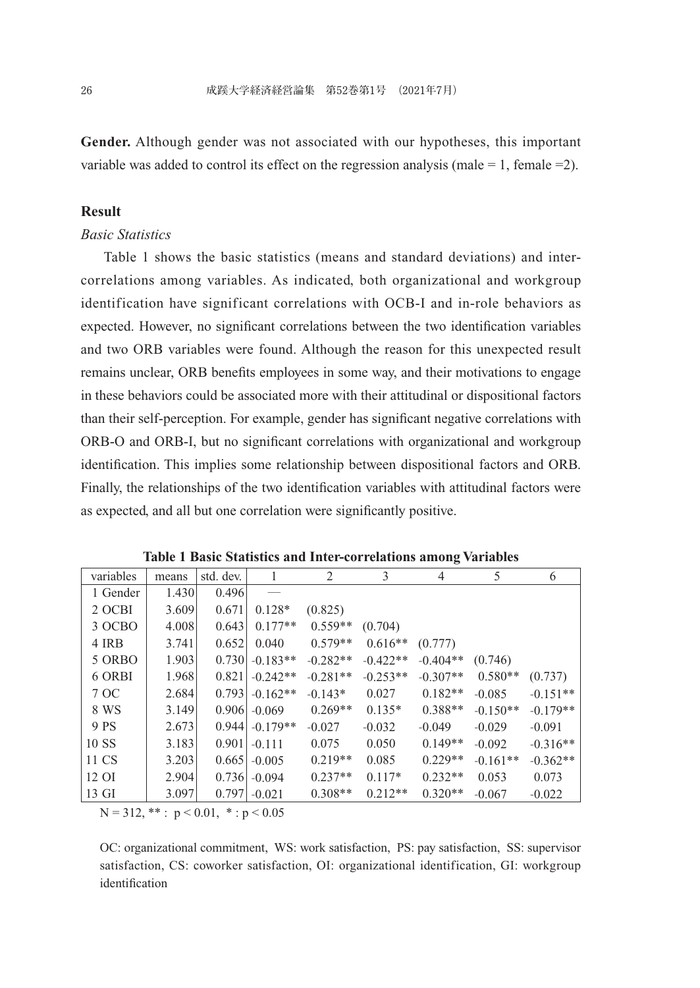**Gender.** Although gender was not associated with our hypotheses, this important variable was added to control its effect on the regression analysis (male  $= 1$ , female  $= 2$ ).

# **Result**

## *Basic Statistics*

Table 1 shows the basic statistics (means and standard deviations) and intercorrelations among variables. As indicated, both organizational and workgroup identification have significant correlations with OCB-I and in-role behaviors as expected. However, no significant correlations between the two identification variables and two ORB variables were found. Although the reason for this unexpected result remains unclear, ORB benefits employees in some way, and their motivations to engage in these behaviors could be associated more with their attitudinal or dispositional factors than their self-perception. For example, gender has significant negative correlations with ORB-O and ORB-I, but no significant correlations with organizational and workgroup identification. This implies some relationship between dispositional factors and ORB. Finally, the relationships of the two identification variables with attitudinal factors were as expected, and all but one correlation were significantly positive.

| variables | means | std. dev. | 1          | 2          | 3          | 4          | 5          | 6          |
|-----------|-------|-----------|------------|------------|------------|------------|------------|------------|
| 1 Gender  | 1.430 | 0.496     |            |            |            |            |            |            |
| 2 OCBI    | 3.609 | 0.671     | $0.128*$   | (0.825)    |            |            |            |            |
| 3 OCBO    | 4.008 | 0.643     | $0.177**$  | $0.559**$  | (0.704)    |            |            |            |
| 4 IRB     | 3.741 | 0.652     | 0.040      | $0.579**$  | $0.616**$  | (0.777)    |            |            |
| 5 ORBO    | 1.903 | 0.730     | $-0.183**$ | $-0.282**$ | $-0.422**$ | $-0.404**$ | (0.746)    |            |
| 6 ORBI    | 1.968 | 0.821     | $-0.242**$ | $-0.281**$ | $-0.253**$ | $-0.307**$ | $0.580**$  | (0.737)    |
| 7 OC      | 2.684 | 0.793     | $-0.162**$ | $-0.143*$  | 0.027      | $0.182**$  | $-0.085$   | $-0.151**$ |
| 8 WS      | 3.149 | 0.906     | $-0.069$   | $0.269**$  | $0.135*$   | $0.388**$  | $-0.150**$ | $-0.179**$ |
| 9 PS      | 2.673 | 0.944     | $-0.179**$ | $-0.027$   | $-0.032$   | $-0.049$   | $-0.029$   | $-0.091$   |
| 10 SS     | 3.183 | 0.901     | $-0.111$   | 0.075      | 0.050      | $0.149**$  | $-0.092$   | $-0.316**$ |
| 11 CS     | 3.203 | 0.665     | $-0.005$   | $0.219**$  | 0.085      | $0.229**$  | $-0.161**$ | $-0.362**$ |
| 12 OI     | 2.904 | 0.736     | $-0.094$   | $0.237**$  | $0.117*$   | $0.232**$  | 0.053      | 0.073      |
| 13 GI     | 3.097 | 0.797     | $-0.021$   | $0.308**$  | $0.212**$  | $0.320**$  | $-0.067$   | $-0.022$   |

**Table 1 Basic Statistics and Inter-correlations among Variables**

 $N = 312$ , \*\* :  $p < 0.01$ , \* :  $p < 0.05$ 

OC: organizational commitment, WS: work satisfaction, PS: pay satisfaction, SS: supervisor satisfaction, CS: coworker satisfaction, OI: organizational identification, GI: workgroup identification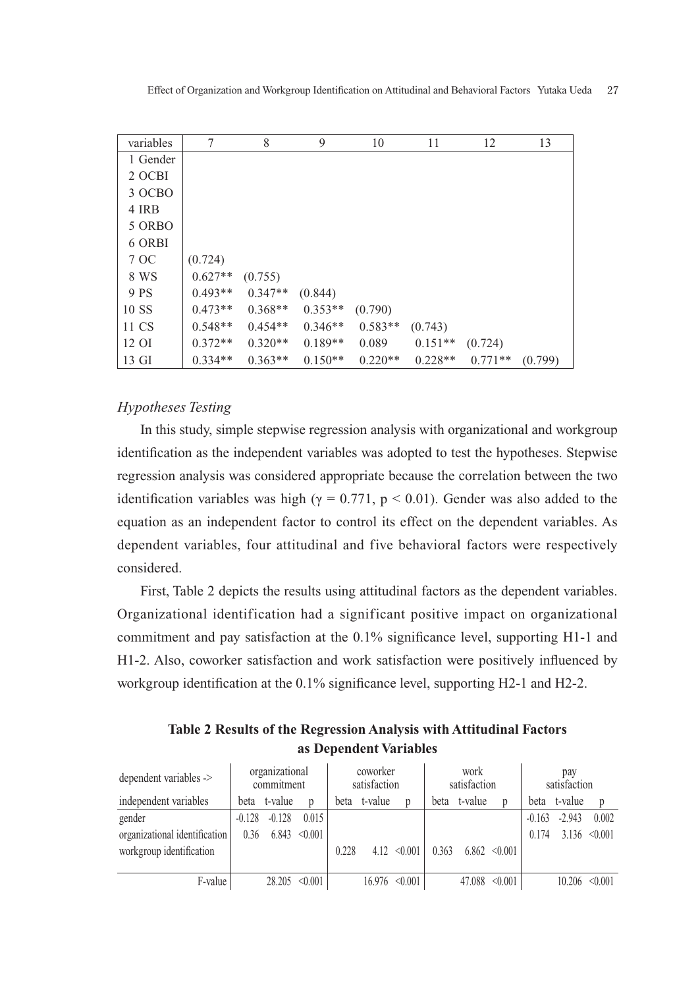| variables | 7         | 8         | 9         | 10        | 11        | 12        | 13      |
|-----------|-----------|-----------|-----------|-----------|-----------|-----------|---------|
| 1 Gender  |           |           |           |           |           |           |         |
| 2 OCBI    |           |           |           |           |           |           |         |
| 3 OCBO    |           |           |           |           |           |           |         |
| 4 IRB     |           |           |           |           |           |           |         |
| 5 ORBO    |           |           |           |           |           |           |         |
| 6 ORBI    |           |           |           |           |           |           |         |
| 7 OC      | (0.724)   |           |           |           |           |           |         |
| 8 WS      | $0.627**$ | (0.755)   |           |           |           |           |         |
| 9 PS      | $0.493**$ | $0.347**$ | (0.844)   |           |           |           |         |
| 10 SS     | $0.473**$ | $0.368**$ | $0.353**$ | (0.790)   |           |           |         |
| 11 CS     | $0.548**$ | $0.454**$ | $0.346**$ | $0.583**$ | (0.743)   |           |         |
| 12 OI     | $0.372**$ | $0.320**$ | $0.189**$ | 0.089     | $0.151**$ | (0.724)   |         |
| 13 GI     | $0.334**$ | $0.363**$ | $0.150**$ | $0.220**$ | $0.228**$ | $0.771**$ | (0.799) |

# *Hypotheses Testing*

In this study, simple stepwise regression analysis with organizational and workgroup identification as the independent variables was adopted to test the hypotheses. Stepwise regression analysis was considered appropriate because the correlation between the two identification variables was high ( $\gamma = 0.771$ ,  $p < 0.01$ ). Gender was also added to the equation as an independent factor to control its effect on the dependent variables. As dependent variables, four attitudinal and five behavioral factors were respectively considered.

First, Table 2 depicts the results using attitudinal factors as the dependent variables. Organizational identification had a significant positive impact on organizational commitment and pay satisfaction at the 0.1% significance level, supporting H1-1 and H1-2. Also, coworker satisfaction and work satisfaction were positively influenced by workgroup identification at the 0.1% significance level, supporting H2-1 and H2-2.

**Table 2 Results of the Regression Analysis with Attitudinal Factors as Dependent Variables**

| dependent variables ->        | organizational<br>commitment |          |         |       | coworker<br>satisfaction |                  |       | work<br>satisfaction |                   | pay<br>satisfaction |          |         |  |
|-------------------------------|------------------------------|----------|---------|-------|--------------------------|------------------|-------|----------------------|-------------------|---------------------|----------|---------|--|
| independent variables         | beta                         | t-value  |         | beta  | t-value                  |                  | beta  | t-value              |                   | beta                | t-value  | D       |  |
| gender                        | $-0.128$                     | $-0.128$ | 0.015   |       |                          |                  |       |                      |                   | $-0.163$            | $-2.943$ | 0.002   |  |
| organizational identification | 0.36                         | 6.843    | < 0.001 |       |                          |                  |       |                      |                   | 0.174               | 3.136    | < 0.001 |  |
| workgroup identification      |                              |          |         | 0.228 |                          | $4.12 \le 0.001$ | 0.363 |                      | $6.862 \le 0.001$ |                     |          |         |  |
|                               |                              |          |         |       |                          |                  |       |                      |                   |                     |          |         |  |
| F-value                       |                              | 28.205   | < 0.001 |       | 16.976                   | < 0.001          |       | 47.088               | < 0.001           |                     | 10.206   | < 0.001 |  |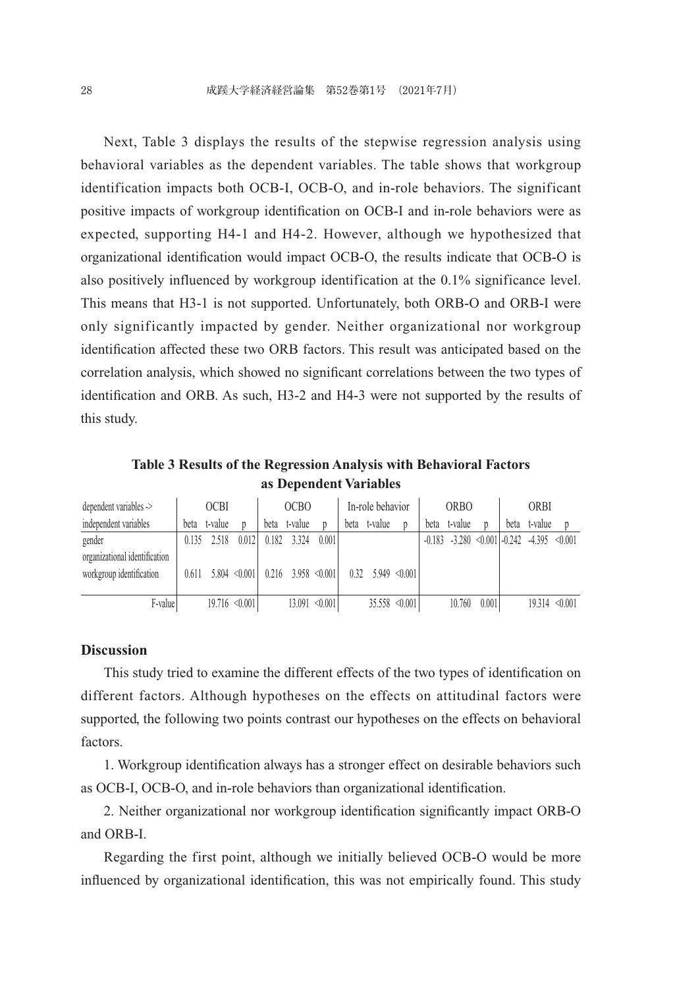Next, Table 3 displays the results of the stepwise regression analysis using behavioral variables as the dependent variables. The table shows that workgroup identification impacts both OCB-I, OCB-O, and in-role behaviors. The significant positive impacts of workgroup identification on OCB-I and in-role behaviors were as expected, supporting H4-1 and H4-2. However, although we hypothesized that organizational identification would impact OCB-O, the results indicate that OCB-O is also positively influenced by workgroup identification at the 0.1% significance level. This means that H3-1 is not supported. Unfortunately, both ORB-O and ORB-I were only significantly impacted by gender. Neither organizational nor workgroup identification affected these two ORB factors. This result was anticipated based on the correlation analysis, which showed no significant correlations between the two types of identification and ORB. As such, H3-2 and H4-3 were not supported by the results of this study.

**Table 3 Results of the Regression Analysis with Behavioral Factors as Dependent Variables**

| dependent variables ->        | <b>OCBI</b> |         | OCB <sub>O</sub>   |       |                       | In-role behavior   |      |         | <b>ORBO</b>        |          |         | <b>ORBI</b> |      |                                                |                    |
|-------------------------------|-------------|---------|--------------------|-------|-----------------------|--------------------|------|---------|--------------------|----------|---------|-------------|------|------------------------------------------------|--------------------|
| independent variables         | beta        | t-value |                    | beta  | t-value               |                    | beta | t-value |                    | beta     | t-value |             | beta | t-value                                        |                    |
| gender                        | 0.135       | 2.518   | 0.012              | 0.182 | 3.324                 | 0.001              |      |         |                    | $-0.183$ |         |             |      | $-3.280 \le 0.001$ $-0.242$ $-4.395 \le 0.001$ |                    |
| organizational identification |             |         |                    |       |                       |                    |      |         |                    |          |         |             |      |                                                |                    |
| workgroup identification      | 0.611       |         | $5.804 \le 0.001$  |       | $0.216$ 3.958 < 0.001 |                    | 0.32 |         | $5.949 \le 0.001$  |          |         |             |      |                                                |                    |
|                               |             |         |                    |       |                       |                    |      |         |                    |          |         |             |      |                                                |                    |
| F-value                       |             |         | $19.716 \le 0.001$ |       |                       | $13.091 \le 0.001$ |      |         | $35.558 \le 0.001$ |          | 10.760  | 0.001       |      |                                                | $19.314 \le 0.001$ |

#### **Discussion**

This study tried to examine the different effects of the two types of identification on different factors. Although hypotheses on the effects on attitudinal factors were supported, the following two points contrast our hypotheses on the effects on behavioral factors.

1. Workgroup identification always has a stronger effect on desirable behaviors such as OCB-I, OCB-O, and in-role behaviors than organizational identification.

2. Neither organizational nor workgroup identification significantly impact ORB-O and ORB-I.

Regarding the first point, although we initially believed OCB-O would be more influenced by organizational identification, this was not empirically found. This study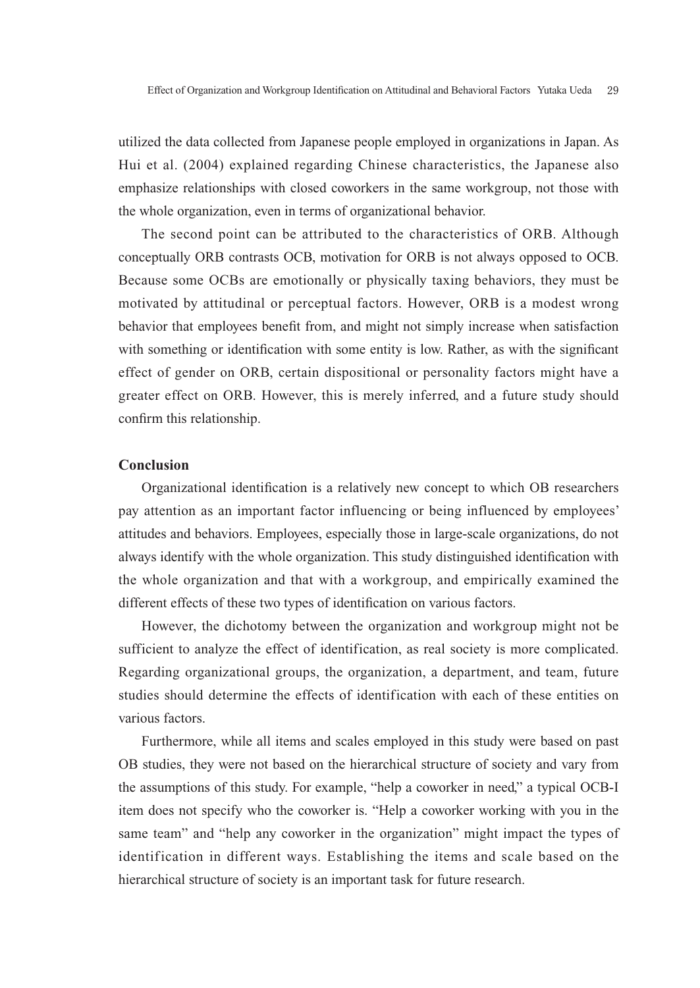utilized the data collected from Japanese people employed in organizations in Japan. As Hui et al. (2004) explained regarding Chinese characteristics, the Japanese also emphasize relationships with closed coworkers in the same workgroup, not those with the whole organization, even in terms of organizational behavior.

The second point can be attributed to the characteristics of ORB. Although conceptually ORB contrasts OCB, motivation for ORB is not always opposed to OCB. Because some OCBs are emotionally or physically taxing behaviors, they must be motivated by attitudinal or perceptual factors. However, ORB is a modest wrong behavior that employees benefit from, and might not simply increase when satisfaction with something or identification with some entity is low. Rather, as with the significant effect of gender on ORB, certain dispositional or personality factors might have a greater effect on ORB. However, this is merely inferred, and a future study should confirm this relationship.

### **Conclusion**

Organizational identification is a relatively new concept to which OB researchers pay attention as an important factor influencing or being influenced by employees' attitudes and behaviors. Employees, especially those in large-scale organizations, do not always identify with the whole organization. This study distinguished identification with the whole organization and that with a workgroup, and empirically examined the different effects of these two types of identification on various factors.

However, the dichotomy between the organization and workgroup might not be sufficient to analyze the effect of identification, as real society is more complicated. Regarding organizational groups, the organization, a department, and team, future studies should determine the effects of identification with each of these entities on various factors.

Furthermore, while all items and scales employed in this study were based on past OB studies, they were not based on the hierarchical structure of society and vary from the assumptions of this study. For example, "help a coworker in need," a typical OCB-I item does not specify who the coworker is. "Help a coworker working with you in the same team" and "help any coworker in the organization" might impact the types of identification in different ways. Establishing the items and scale based on the hierarchical structure of society is an important task for future research.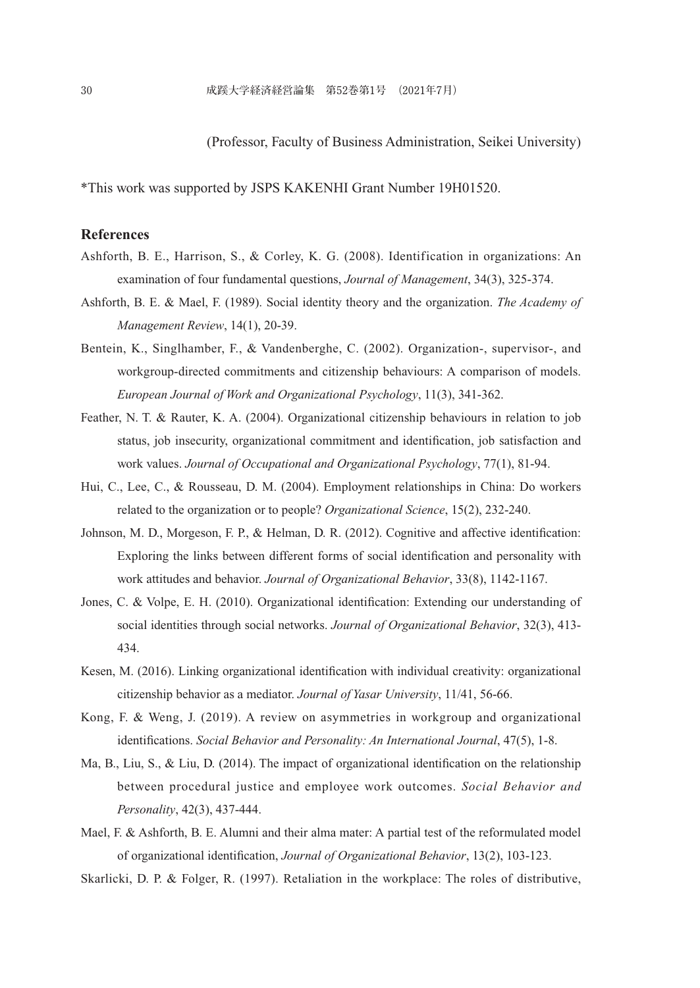(Professor, Faculty of Business Administration, Seikei University)

\*This work was supported by JSPS KAKENHI Grant Number 19H01520.

## **References**

- Ashforth, B. E., Harrison, S., & Corley, K. G. (2008). Identification in organizations: An examination of four fundamental questions, *Journal of Management*, 34(3), 325-374.
- Ashforth, B. E. & Mael, F. (1989). Social identity theory and the organization. *The Academy of Management Review*, 14(1), 20-39.
- Bentein, K., Singlhamber, F., & Vandenberghe, C. (2002). Organization-, supervisor-, and workgroup-directed commitments and citizenship behaviours: A comparison of models. *European Journal of Work and Organizational Psychology*, 11(3), 341-362.
- Feather, N. T. & Rauter, K. A. (2004). Organizational citizenship behaviours in relation to job status, job insecurity, organizational commitment and identification, job satisfaction and work values. *Journal of Occupational and Organizational Psychology*, 77(1), 81-94.
- Hui, C., Lee, C., & Rousseau, D. M. (2004). Employment relationships in China: Do workers related to the organization or to people? *Organizational Science*, 15(2), 232-240.
- Johnson, M. D., Morgeson, F. P., & Helman, D. R. (2012). Cognitive and affective identification: Exploring the links between different forms of social identification and personality with work attitudes and behavior. *Journal of Organizational Behavior*, 33(8), 1142-1167.
- Jones, C. & Volpe, E. H. (2010). Organizational identification: Extending our understanding of social identities through social networks. *Journal of Organizational Behavior*, 32(3), 413- 434.
- Kesen, M. (2016). Linking organizational identification with individual creativity: organizational citizenship behavior as a mediator. *Journal of Yasar University*, 11/41, 56-66.
- Kong, F. & Weng, J. (2019). A review on asymmetries in workgroup and organizational identifications. *Social Behavior and Personality: An International Journal*, 47(5), 1-8.
- Ma, B., Liu, S., & Liu, D. (2014). The impact of organizational identification on the relationship between procedural justice and employee work outcomes. *Social Behavior and Personality*, 42(3), 437-444.
- Mael, F. & Ashforth, B. E. Alumni and their alma mater: A partial test of the reformulated model of organizational identification, *Journal of Organizational Behavior*, 13(2), 103-123.
- Skarlicki, D. P. & Folger, R. (1997). Retaliation in the workplace: The roles of distributive,